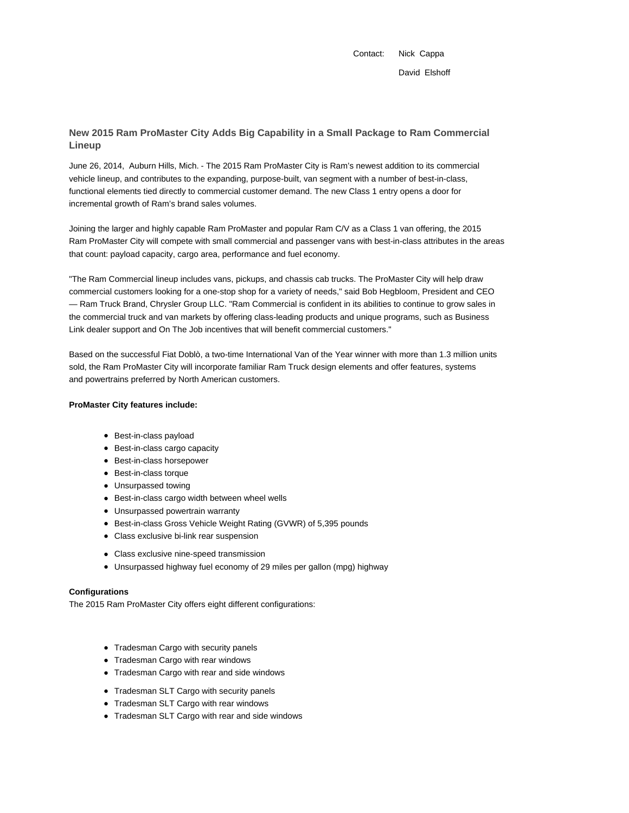Contact: Nick Cappa David Elshoff

# **New 2015 Ram ProMaster City Adds Big Capability in a Small Package to Ram Commercial Lineup**

June 26, 2014, Auburn Hills, Mich. - The 2015 Ram ProMaster City is Ram's newest addition to its commercial vehicle lineup, and contributes to the expanding, purpose-built, van segment with a number of best-in-class, functional elements tied directly to commercial customer demand. The new Class 1 entry opens a door for incremental growth of Ram's brand sales volumes.

Joining the larger and highly capable Ram ProMaster and popular Ram C/V as a Class 1 van offering, the 2015 Ram ProMaster City will compete with small commercial and passenger vans with best-in-class attributes in the areas that count: payload capacity, cargo area, performance and fuel economy.

"The Ram Commercial lineup includes vans, pickups, and chassis cab trucks. The ProMaster City will help draw commercial customers looking for a one-stop shop for a variety of needs," said Bob Hegbloom, President and CEO — Ram Truck Brand, Chrysler Group LLC. "Ram Commercial is confident in its abilities to continue to grow sales in the commercial truck and van markets by offering class-leading products and unique programs, such as Business Link dealer support and On The Job incentives that will benefit commercial customers."

Based on the successful Fiat Doblò, a two-time International Van of the Year winner with more than 1.3 million units sold, the Ram ProMaster City will incorporate familiar Ram Truck design elements and offer features, systems and powertrains preferred by North American customers.

### **ProMaster City features include:**

- Best-in-class payload
- Best-in-class cargo capacity
- Best-in-class horsepower
- Best-in-class torque
- Unsurpassed towing
- Best-in-class cargo width between wheel wells
- Unsurpassed powertrain warranty
- Best-in-class Gross Vehicle Weight Rating (GVWR) of 5,395 pounds
- Class exclusive bi-link rear suspension
- Class exclusive nine-speed transmission
- Unsurpassed highway fuel economy of 29 miles per gallon (mpg) highway

#### **Configurations**

The 2015 Ram ProMaster City offers eight different configurations:

- Tradesman Cargo with security panels
- Tradesman Cargo with rear windows
- Tradesman Cargo with rear and side windows
- Tradesman SLT Cargo with security panels
- Tradesman SLT Cargo with rear windows
- Tradesman SLT Cargo with rear and side windows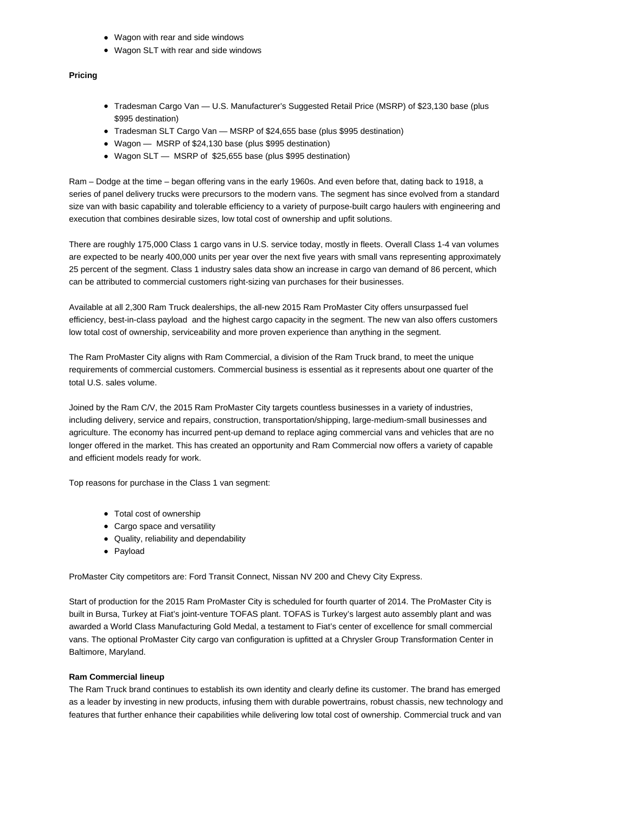- Wagon with rear and side windows
- Wagon SLT with rear and side windows

#### **Pricing**

- Tradesman Cargo Van U.S. Manufacturer's Suggested Retail Price (MSRP) of \$23,130 base (plus \$995 destination)
- Tradesman SLT Cargo Van MSRP of \$24,655 base (plus \$995 destination)
- Wagon MSRP of \$24,130 base (plus \$995 destination)
- Wagon SLT MSRP of \$25,655 base (plus \$995 destination)

Ram – Dodge at the time – began offering vans in the early 1960s. And even before that, dating back to 1918, a series of panel delivery trucks were precursors to the modern vans. The segment has since evolved from a standard size van with basic capability and tolerable efficiency to a variety of purpose-built cargo haulers with engineering and execution that combines desirable sizes, low total cost of ownership and upfit solutions.

There are roughly 175,000 Class 1 cargo vans in U.S. service today, mostly in fleets. Overall Class 1-4 van volumes are expected to be nearly 400,000 units per year over the next five years with small vans representing approximately 25 percent of the segment. Class 1 industry sales data show an increase in cargo van demand of 86 percent, which can be attributed to commercial customers right-sizing van purchases for their businesses.

Available at all 2,300 Ram Truck dealerships, the all-new 2015 Ram ProMaster City offers unsurpassed fuel efficiency, best-in-class payload and the highest cargo capacity in the segment. The new van also offers customers low total cost of ownership, serviceability and more proven experience than anything in the segment.

The Ram ProMaster City aligns with Ram Commercial, a division of the Ram Truck brand, to meet the unique requirements of commercial customers. Commercial business is essential as it represents about one quarter of the total U.S. sales volume.

Joined by the Ram C/V, the 2015 Ram ProMaster City targets countless businesses in a variety of industries, including delivery, service and repairs, construction, transportation/shipping, large-medium-small businesses and agriculture. The economy has incurred pent-up demand to replace aging commercial vans and vehicles that are no longer offered in the market. This has created an opportunity and Ram Commercial now offers a variety of capable and efficient models ready for work.

Top reasons for purchase in the Class 1 van segment:

- Total cost of ownership
- Cargo space and versatility
- Quality, reliability and dependability
- Payload

ProMaster City competitors are: Ford Transit Connect, Nissan NV 200 and Chevy City Express.

Start of production for the 2015 Ram ProMaster City is scheduled for fourth quarter of 2014. The ProMaster City is built in Bursa, Turkey at Fiat's joint-venture TOFAS plant. TOFAS is Turkey's largest auto assembly plant and was awarded a World Class Manufacturing Gold Medal, a testament to Fiat's center of excellence for small commercial vans. The optional ProMaster City cargo van configuration is upfitted at a Chrysler Group Transformation Center in Baltimore, Maryland.

#### **Ram Commercial lineup**

The Ram Truck brand continues to establish its own identity and clearly define its customer. The brand has emerged as a leader by investing in new products, infusing them with durable powertrains, robust chassis, new technology and features that further enhance their capabilities while delivering low total cost of ownership. Commercial truck and van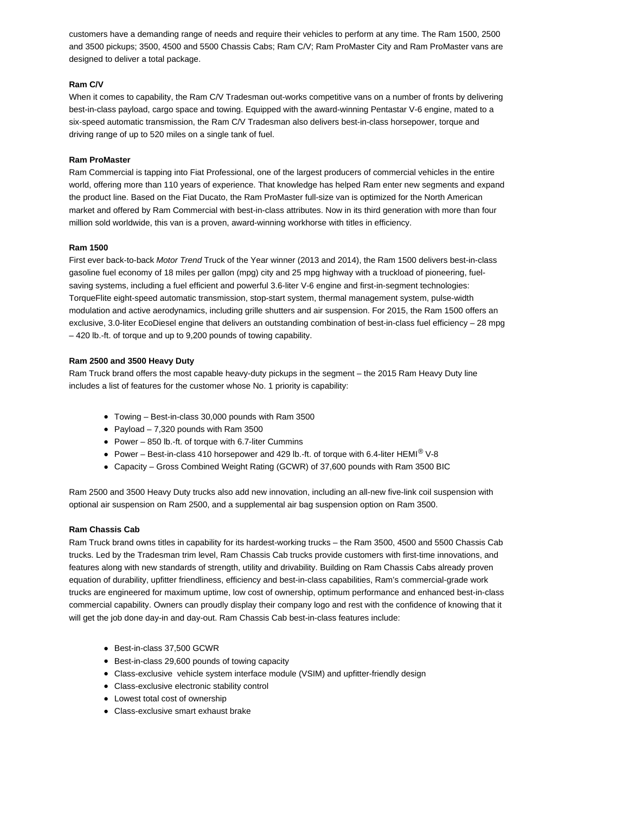customers have a demanding range of needs and require their vehicles to perform at any time. The Ram 1500, 2500 and 3500 pickups; 3500, 4500 and 5500 Chassis Cabs; Ram C/V; Ram ProMaster City and Ram ProMaster vans are designed to deliver a total package.

### **Ram C/V**

When it comes to capability, the Ram C/V Tradesman out-works competitive vans on a number of fronts by delivering best-in-class payload, cargo space and towing. Equipped with the award-winning Pentastar V-6 engine, mated to a six-speed automatic transmission, the Ram C/V Tradesman also delivers best-in-class horsepower, torque and driving range of up to 520 miles on a single tank of fuel.

### **Ram ProMaster**

Ram Commercial is tapping into Fiat Professional, one of the largest producers of commercial vehicles in the entire world, offering more than 110 years of experience. That knowledge has helped Ram enter new segments and expand the product line. Based on the Fiat Ducato, the Ram ProMaster full-size van is optimized for the North American market and offered by Ram Commercial with best-in-class attributes. Now in its third generation with more than four million sold worldwide, this van is a proven, award-winning workhorse with titles in efficiency.

### **Ram 1500**

First ever back-to-back Motor Trend Truck of the Year winner (2013 and 2014), the Ram 1500 delivers best-in-class gasoline fuel economy of 18 miles per gallon (mpg) city and 25 mpg highway with a truckload of pioneering, fuelsaving systems, including a fuel efficient and powerful 3.6-liter V-6 engine and first-in-segment technologies: TorqueFlite eight-speed automatic transmission, stop-start system, thermal management system, pulse-width modulation and active aerodynamics, including grille shutters and air suspension. For 2015, the Ram 1500 offers an exclusive, 3.0-liter EcoDiesel engine that delivers an outstanding combination of best-in-class fuel efficiency – 28 mpg – 420 lb.-ft. of torque and up to 9,200 pounds of towing capability.

### **Ram 2500 and 3500 Heavy Duty**

Ram Truck brand offers the most capable heavy-duty pickups in the segment – the 2015 Ram Heavy Duty line includes a list of features for the customer whose No. 1 priority is capability:

- Towing Best-in-class 30,000 pounds with Ram 3500
- Payload  $-7,320$  pounds with Ram 3500
- Power 850 lb.-ft. of torque with 6.7-liter Cummins
- Power Best-in-class 410 horsepower and 429 lb.-ft. of torque with 6.4-liter HEMI<sup>®</sup> V-8
- Capacity Gross Combined Weight Rating (GCWR) of 37,600 pounds with Ram 3500 BIC

Ram 2500 and 3500 Heavy Duty trucks also add new innovation, including an all-new five-link coil suspension with optional air suspension on Ram 2500, and a supplemental air bag suspension option on Ram 3500.

#### **Ram Chassis Cab**

Ram Truck brand owns titles in capability for its hardest-working trucks – the Ram 3500, 4500 and 5500 Chassis Cab trucks. Led by the Tradesman trim level, Ram Chassis Cab trucks provide customers with first-time innovations, and features along with new standards of strength, utility and drivability. Building on Ram Chassis Cabs already proven equation of durability, upfitter friendliness, efficiency and best-in-class capabilities, Ram's commercial-grade work trucks are engineered for maximum uptime, low cost of ownership, optimum performance and enhanced best-in-class commercial capability. Owners can proudly display their company logo and rest with the confidence of knowing that it will get the job done day-in and day-out. Ram Chassis Cab best-in-class features include:

- Best-in-class 37,500 GCWR
- Best-in-class 29,600 pounds of towing capacity
- Class-exclusive vehicle system interface module (VSIM) and upfitter-friendly design
- Class-exclusive electronic stability control
- Lowest total cost of ownership
- Class-exclusive smart exhaust brake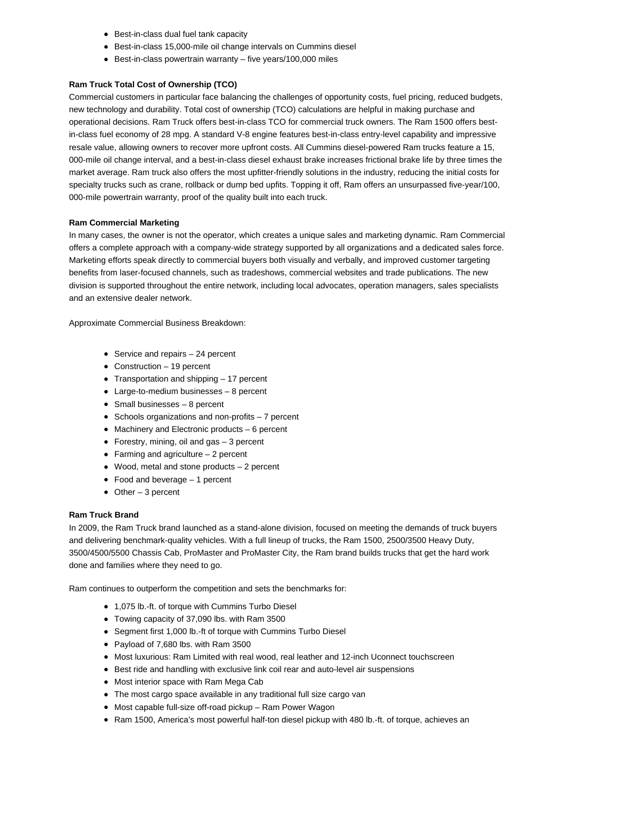- Best-in-class dual fuel tank capacity
- Best-in-class 15,000-mile oil change intervals on Cummins diesel
- Best-in-class powertrain warranty five years/100,000 miles

### **Ram Truck Total Cost of Ownership (TCO)**

Commercial customers in particular face balancing the challenges of opportunity costs, fuel pricing, reduced budgets, new technology and durability. Total cost of ownership (TCO) calculations are helpful in making purchase and operational decisions. Ram Truck offers best-in-class TCO for commercial truck owners. The Ram 1500 offers bestin-class fuel economy of 28 mpg. A standard V-8 engine features best-in-class entry-level capability and impressive resale value, allowing owners to recover more upfront costs. All Cummins diesel-powered Ram trucks feature a 15, 000-mile oil change interval, and a best-in-class diesel exhaust brake increases frictional brake life by three times the market average. Ram truck also offers the most upfitter-friendly solutions in the industry, reducing the initial costs for specialty trucks such as crane, rollback or dump bed upfits. Topping it off, Ram offers an unsurpassed five-year/100, 000-mile powertrain warranty, proof of the quality built into each truck.

### **Ram Commercial Marketing**

In many cases, the owner is not the operator, which creates a unique sales and marketing dynamic. Ram Commercial offers a complete approach with a company-wide strategy supported by all organizations and a dedicated sales force. Marketing efforts speak directly to commercial buyers both visually and verbally, and improved customer targeting benefits from laser-focused channels, such as tradeshows, commercial websites and trade publications. The new division is supported throughout the entire network, including local advocates, operation managers, sales specialists and an extensive dealer network.

Approximate Commercial Business Breakdown:

- $\bullet$  Service and repairs  $-24$  percent
- Construction 19 percent
- Transportation and shipping 17 percent
- Large-to-medium businesses 8 percent
- Small businesses 8 percent
- Schools organizations and non-profits 7 percent
- Machinery and Electronic products 6 percent
- Forestry, mining, oil and gas 3 percent
- $\bullet$  Farming and agriculture  $-2$  percent
- Wood, metal and stone products 2 percent
- Food and beverage 1 percent
- Other 3 percent

#### **Ram Truck Brand**

In 2009, the Ram Truck brand launched as a stand-alone division, focused on meeting the demands of truck buyers and delivering benchmark-quality vehicles. With a full lineup of trucks, the Ram 1500, 2500/3500 Heavy Duty, 3500/4500/5500 Chassis Cab, ProMaster and ProMaster City, the Ram brand builds trucks that get the hard work done and families where they need to go.

Ram continues to outperform the competition and sets the benchmarks for:

- 1,075 lb.-ft. of torque with Cummins Turbo Diesel
- Towing capacity of 37,090 lbs. with Ram 3500
- Segment first 1,000 lb.-ft of torque with Cummins Turbo Diesel
- Payload of 7,680 lbs. with Ram 3500
- Most luxurious: Ram Limited with real wood, real leather and 12-inch Uconnect touchscreen
- Best ride and handling with exclusive link coil rear and auto-level air suspensions
- Most interior space with Ram Mega Cab
- The most cargo space available in any traditional full size cargo van
- Most capable full-size off-road pickup Ram Power Wagon
- Ram 1500, America's most powerful half-ton diesel pickup with 480 lb.-ft. of torque, achieves an